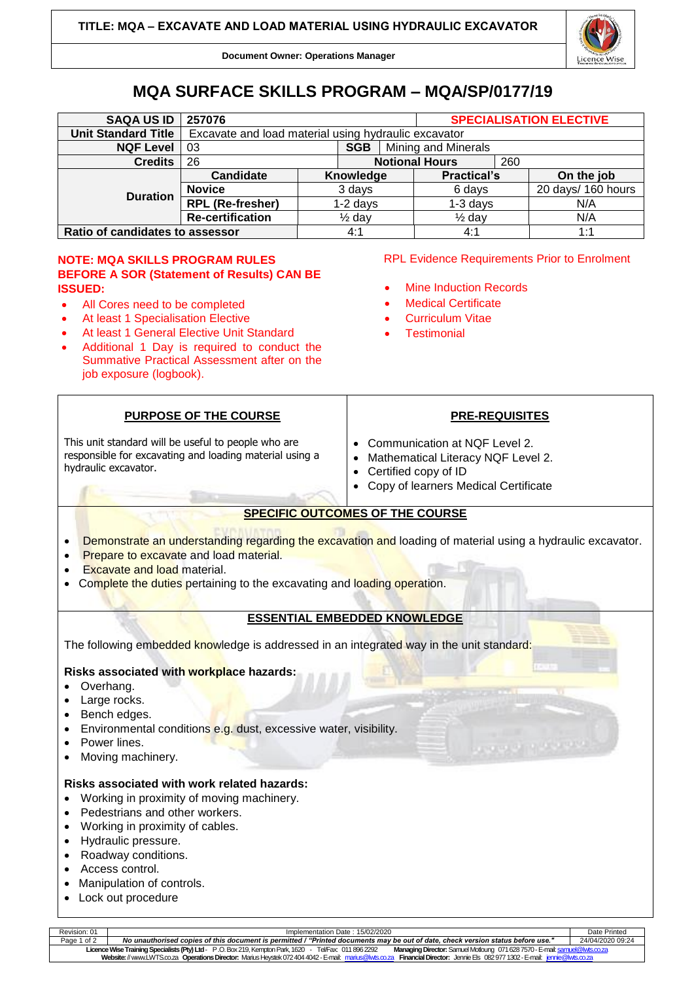

**Document Owner: Operations Manager**

# **MQA SURFACE SKILLS PROGRAM – MQA/SP/0177/19**

| <b>SAQA US ID</b>               | 257076                                               |                   | <b>SPECIALISATION ELECTIVE</b> |                    |  |                    |  |
|---------------------------------|------------------------------------------------------|-------------------|--------------------------------|--------------------|--|--------------------|--|
| <b>Unit Standard Title</b>      | Excavate and load material using hydraulic excavator |                   |                                |                    |  |                    |  |
| <b>NQF Level</b>                | Mining and Minerals<br>03<br><b>SGB</b>              |                   |                                |                    |  |                    |  |
| <b>Credits</b>                  | 26                                                   |                   | <b>Notional Hours</b>          | 260                |  |                    |  |
| <b>Duration</b>                 | <b>Candidate</b>                                     | Knowledge         |                                | <b>Practical's</b> |  | On the job         |  |
|                                 | <b>Novice</b>                                        | 3 days            |                                | 6 days             |  | 20 days/ 160 hours |  |
|                                 | <b>RPL (Re-fresher)</b>                              | $1-2$ days        |                                | $1-3$ days         |  | N/A                |  |
|                                 | <b>Re-certification</b>                              | $\frac{1}{2}$ day |                                | $\frac{1}{2}$ day  |  | N/A                |  |
| Ratio of candidates to assessor |                                                      |                   | 4:1                            | 4:1                |  | 1:1                |  |

# **NOTE: MQA SKILLS PROGRAM RULES BEFORE A SOR (Statement of Results) CAN BE ISSUED:**

- All Cores need to be completed
- At least 1 Specialisation Elective
- At least 1 General Elective Unit Standard
- Additional 1 Day is required to conduct the Summative Practical Assessment after on the job exposure (logbook).

**PURPOSE OF THE COURSE**

This unit standard will be useful to people who are responsible for excavating and loading material using a

## RPL Evidence Requirements Prior to Enrolment

- **Mine Induction Records**
- **Medical Certificate**
- Curriculum Vitae
- **Testimonial**

# **PRE-REQUISITES**

- Communication at NQF Level 2.
- Mathematical Literacy NQF Level 2.
- Certified copy of ID
- Copy of learners Medical Certificate

# **SPECIFIC OUTCOMES OF THE COURSE**

- **Demonstrate an understanding regarding the excavation and loading of material using a hydraulic excavator.**
- Prepare to excavate and load material.
- **Excavate and load material.**
- Complete the duties pertaining to the excavating and loading operation.

# **ESSENTIAL EMBEDDED KNOWLEDGE**

The following embedded knowledge is addressed in an integrated way in the unit standard:

# **Risks associated with workplace hazards:**

- Overhang.
- Large rocks.

hydraulic excavator.

- Bench edges.
- Environmental conditions e.g. dust, excessive water, visibility.
- Power lines.
- Moving machinery.

### **Risks associated with work related hazards:**

- Working in proximity of moving machinery.
- Pedestrians and other workers.
- Working in proximity of cables.
- Hydraulic pressure.
- Roadway conditions.
- Access control.
- Manipulation of controls.
- Lock out procedure

| $l$ amantation Data $\cdot$ 15/02/2020 |  |  |
|----------------------------------------|--|--|

Revision: 01 Implementation Date : 15/02/2020 Date Printed Page 1 of 2 *No unauthorised copies of this document is permitted / "Printed documents may be out of date, check version status before use."* 24/04/2020 09:24 **Licence Wise Training Specialists (Pty) Ltd**- P .O. Box 219, Kempton Park, 1620 - Tel/Fax: 011 896 2292 **Managing Director:** Samuel Motloung 071628 7570 -E-mai[l: samuel@lwts.co.za](mailto:samuel@lwts.co.za)  **Website:**// www.LWTS.co.za **Operations Director:** Marius Heystek 072404 4042 -E-mail: [marius@lwts.co.za](mailto:marius@lwts.co.za) **Financial Director:** Jennie Els 082977 1302 -E-mail: [jennie@lwts.co.za](mailto:jennie@lwts.co.za)